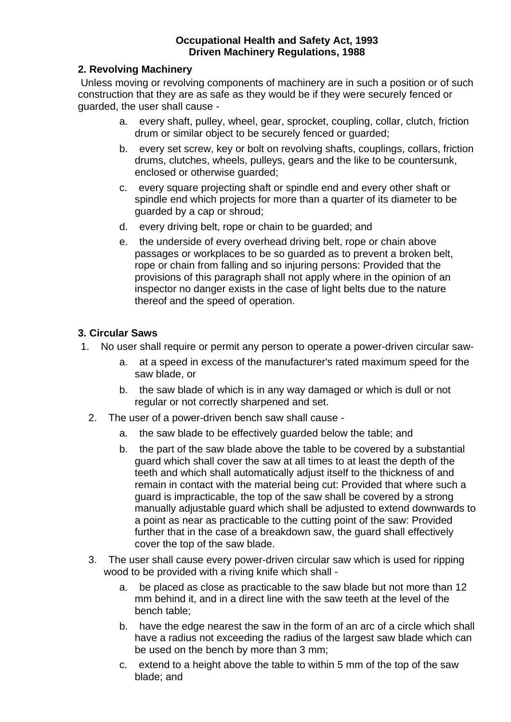#### **Occupational Health and Safety Act, 1993 Driven Machinery Regulations, 1988**

#### **2. Revolving Machinery**

 Unless moving or revolving components of machinery are in such a position or of such construction that they are as safe as they would be if they were securely fenced or guarded, the user shall cause -

- a. every shaft, pulley, wheel, gear, sprocket, coupling, collar, clutch, friction drum or similar object to be securely fenced or guarded;
- b. every set screw, key or bolt on revolving shafts, couplings, collars, friction drums, clutches, wheels, pulleys, gears and the like to be countersunk, enclosed or otherwise guarded;
- c. every square projecting shaft or spindle end and every other shaft or spindle end which projects for more than a quarter of its diameter to be guarded by a cap or shroud;
- d. every driving belt, rope or chain to be guarded; and
- e. the underside of every overhead driving belt, rope or chain above passages or workplaces to be so guarded as to prevent a broken belt, rope or chain from falling and so injuring persons: Provided that the provisions of this paragraph shall not apply where in the opinion of an inspector no danger exists in the case of light belts due to the nature thereof and the speed of operation.

#### **3. Circular Saws**

- 1. No user shall require or permit any person to operate a power-driven circular saw
	- a. at a speed in excess of the manufacturer's rated maximum speed for the saw blade, or
	- b. the saw blade of which is in any way damaged or which is dull or not regular or not correctly sharpened and set.
	- 2. The user of a power-driven bench saw shall cause
		- a. the saw blade to be effectively guarded below the table; and
		- b. the part of the saw blade above the table to be covered by a substantial guard which shall cover the saw at all times to at least the depth of the teeth and which shall automatically adjust itself to the thickness of and remain in contact with the material being cut: Provided that where such a guard is impracticable, the top of the saw shall be covered by a strong manually adjustable guard which shall be adjusted to extend downwards to a point as near as practicable to the cutting point of the saw: Provided further that in the case of a breakdown saw, the guard shall effectively cover the top of the saw blade.
	- 3. The user shall cause every power-driven circular saw which is used for ripping wood to be provided with a riving knife which shall
		- a. be placed as close as practicable to the saw blade but not more than 12 mm behind it, and in a direct line with the saw teeth at the level of the bench table;
		- b. have the edge nearest the saw in the form of an arc of a circle which shall have a radius not exceeding the radius of the largest saw blade which can be used on the bench by more than 3 mm;
		- c. extend to a height above the table to within 5 mm of the top of the saw blade; and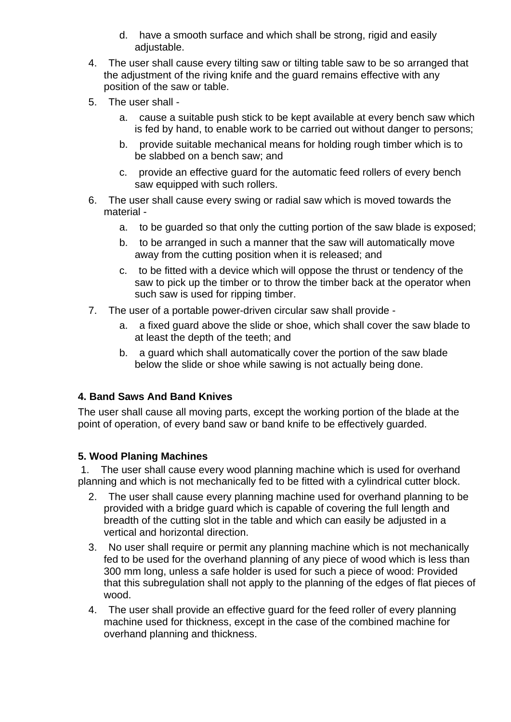- d. have a smooth surface and which shall be strong, rigid and easily adjustable.
- 4. The user shall cause every tilting saw or tilting table saw to be so arranged that the adjustment of the riving knife and the guard remains effective with any position of the saw or table.
- 5. The user shall
	- a. cause a suitable push stick to be kept available at every bench saw which is fed by hand, to enable work to be carried out without danger to persons;
	- b. provide suitable mechanical means for holding rough timber which is to be slabbed on a bench saw; and
	- c. provide an effective guard for the automatic feed rollers of every bench saw equipped with such rollers.
- 6. The user shall cause every swing or radial saw which is moved towards the material
	- a. to be guarded so that only the cutting portion of the saw blade is exposed;
	- b. to be arranged in such a manner that the saw will automatically move away from the cutting position when it is released; and
	- c. to be fitted with a device which will oppose the thrust or tendency of the saw to pick up the timber or to throw the timber back at the operator when such saw is used for ripping timber.
- 7. The user of a portable power-driven circular saw shall provide
	- a. a fixed guard above the slide or shoe, which shall cover the saw blade to at least the depth of the teeth; and
	- b. a guard which shall automatically cover the portion of the saw blade below the slide or shoe while sawing is not actually being done.

#### **4. Band Saws And Band Knives**

The user shall cause all moving parts, except the working portion of the blade at the point of operation, of every band saw or band knife to be effectively guarded.

#### **5. Wood Planing Machines**

 1. The user shall cause every wood planning machine which is used for overhand planning and which is not mechanically fed to be fitted with a cylindrical cutter block.

- 2. The user shall cause every planning machine used for overhand planning to be provided with a bridge guard which is capable of covering the full length and breadth of the cutting slot in the table and which can easily be adjusted in a vertical and horizontal direction.
- 3. No user shall require or permit any planning machine which is not mechanically fed to be used for the overhand planning of any piece of wood which is less than 300 mm long, unless a safe holder is used for such a piece of wood: Provided that this subregulation shall not apply to the planning of the edges of flat pieces of wood.
- 4. The user shall provide an effective guard for the feed roller of every planning machine used for thickness, except in the case of the combined machine for overhand planning and thickness.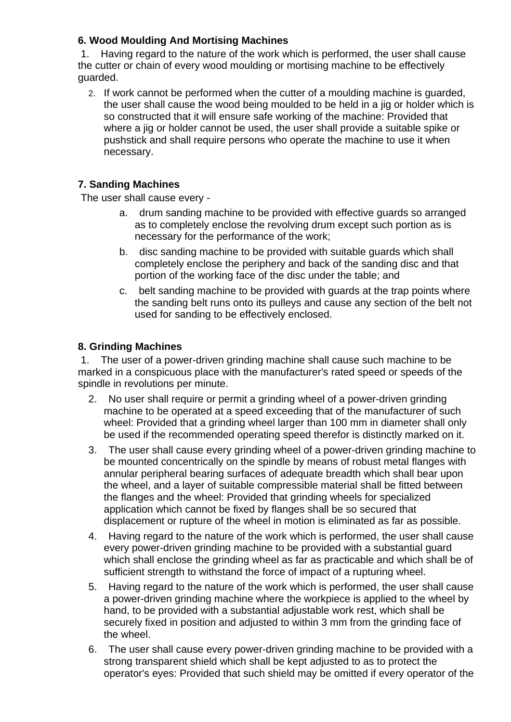## **6. Wood Moulding And Mortising Machines**

 1. Having regard to the nature of the work which is performed, the user shall cause the cutter or chain of every wood moulding or mortising machine to be effectively guarded.

2. If work cannot be performed when the cutter of a moulding machine is guarded, the user shall cause the wood being moulded to be held in a jig or holder which is so constructed that it will ensure safe working of the machine: Provided that where a jig or holder cannot be used, the user shall provide a suitable spike or pushstick and shall require persons who operate the machine to use it when necessary.

## **7. Sanding Machines**

The user shall cause every -

- a. drum sanding machine to be provided with effective guards so arranged as to completely enclose the revolving drum except such portion as is necessary for the performance of the work;
- b. disc sanding machine to be provided with suitable guards which shall completely enclose the periphery and back of the sanding disc and that portion of the working face of the disc under the table; and
- c. belt sanding machine to be provided with guards at the trap points where the sanding belt runs onto its pulleys and cause any section of the belt not used for sanding to be effectively enclosed.

#### **8. Grinding Machines**

 1. The user of a power-driven grinding machine shall cause such machine to be marked in a conspicuous place with the manufacturer's rated speed or speeds of the spindle in revolutions per minute.

- 2. No user shall require or permit a grinding wheel of a power-driven grinding machine to be operated at a speed exceeding that of the manufacturer of such wheel: Provided that a grinding wheel larger than 100 mm in diameter shall only be used if the recommended operating speed therefor is distinctly marked on it.
- 3. The user shall cause every grinding wheel of a power-driven grinding machine to be mounted concentrically on the spindle by means of robust metal flanges with annular peripheral bearing surfaces of adequate breadth which shall bear upon the wheel, and a layer of suitable compressible material shall be fitted between the flanges and the wheel: Provided that grinding wheels for specialized application which cannot be fixed by flanges shall be so secured that displacement or rupture of the wheel in motion is eliminated as far as possible.
- 4. Having regard to the nature of the work which is performed, the user shall cause every power-driven grinding machine to be provided with a substantial guard which shall enclose the grinding wheel as far as practicable and which shall be of sufficient strength to withstand the force of impact of a rupturing wheel.
- 5. Having regard to the nature of the work which is performed, the user shall cause a power-driven grinding machine where the workpiece is applied to the wheel by hand, to be provided with a substantial adjustable work rest, which shall be securely fixed in position and adjusted to within 3 mm from the grinding face of the wheel.
- 6. The user shall cause every power-driven grinding machine to be provided with a strong transparent shield which shall be kept adjusted to as to protect the operator's eyes: Provided that such shield may be omitted if every operator of the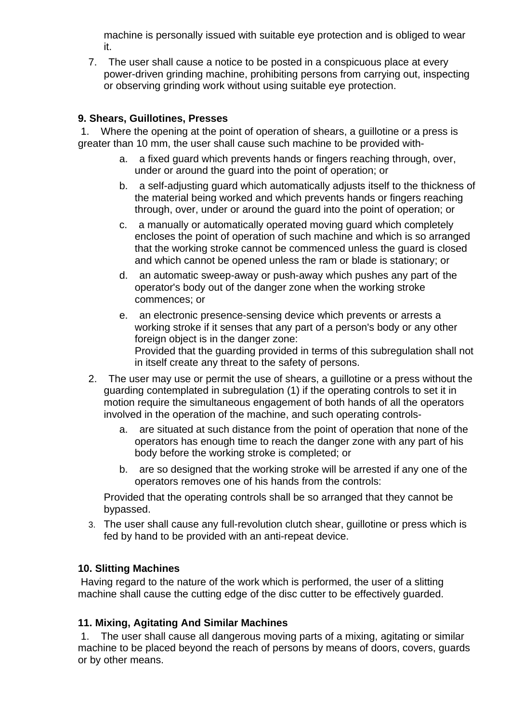machine is personally issued with suitable eye protection and is obliged to wear it.

7. The user shall cause a notice to be posted in a conspicuous place at every power-driven grinding machine, prohibiting persons from carrying out, inspecting or observing grinding work without using suitable eye protection.

### **9. Shears, Guillotines, Presses**

 1. Where the opening at the point of operation of shears, a guillotine or a press is greater than 10 mm, the user shall cause such machine to be provided with-

- a. a fixed guard which prevents hands or fingers reaching through, over, under or around the guard into the point of operation; or
- b. a self-adjusting guard which automatically adjusts itself to the thickness of the material being worked and which prevents hands or fingers reaching through, over, under or around the guard into the point of operation; or
- c. a manually or automatically operated moving guard which completely encloses the point of operation of such machine and which is so arranged that the working stroke cannot be commenced unless the guard is closed and which cannot be opened unless the ram or blade is stationary; or
- d. an automatic sweep-away or push-away which pushes any part of the operator's body out of the danger zone when the working stroke commences; or
- e. an electronic presence-sensing device which prevents or arrests a working stroke if it senses that any part of a person's body or any other foreign object is in the danger zone: Provided that the guarding provided in terms of this subregulation shall not in itself create any threat to the safety of persons.
- 2. The user may use or permit the use of shears, a guillotine or a press without the guarding contemplated in subregulation (1) if the operating controls to set it in motion require the simultaneous engagement of both hands of all the operators involved in the operation of the machine, and such operating controls
	- a. are situated at such distance from the point of operation that none of the operators has enough time to reach the danger zone with any part of his body before the working stroke is completed; or
	- b. are so designed that the working stroke will be arrested if any one of the operators removes one of his hands from the controls:

Provided that the operating controls shall be so arranged that they cannot be bypassed.

3. The user shall cause any full-revolution clutch shear, guillotine or press which is fed by hand to be provided with an anti-repeat device.

## **10. Slitting Machines**

 Having regard to the nature of the work which is performed, the user of a slitting machine shall cause the cutting edge of the disc cutter to be effectively guarded.

#### **11. Mixing, Agitating And Similar Machines**

 1. The user shall cause all dangerous moving parts of a mixing, agitating or similar machine to be placed beyond the reach of persons by means of doors, covers, guards or by other means.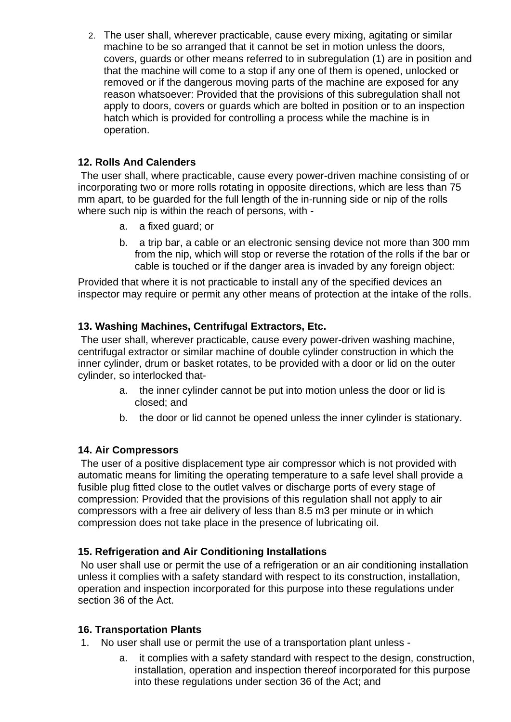2. The user shall, wherever practicable, cause every mixing, agitating or similar machine to be so arranged that it cannot be set in motion unless the doors, covers, guards or other means referred to in subregulation (1) are in position and that the machine will come to a stop if any one of them is opened, unlocked or removed or if the dangerous moving parts of the machine are exposed for any reason whatsoever: Provided that the provisions of this subregulation shall not apply to doors, covers or guards which are bolted in position or to an inspection hatch which is provided for controlling a process while the machine is in operation.

### **12. Rolls And Calenders**

 The user shall, where practicable, cause every power-driven machine consisting of or incorporating two or more rolls rotating in opposite directions, which are less than 75 mm apart, to be guarded for the full length of the in-running side or nip of the rolls where such nip is within the reach of persons, with -

- a. a fixed guard; or
- b. a trip bar, a cable or an electronic sensing device not more than 300 mm from the nip, which will stop or reverse the rotation of the rolls if the bar or cable is touched or if the danger area is invaded by any foreign object:

Provided that where it is not practicable to install any of the specified devices an inspector may require or permit any other means of protection at the intake of the rolls.

## **13. Washing Machines, Centrifugal Extractors, Etc.**

 The user shall, wherever practicable, cause every power-driven washing machine, centrifugal extractor or similar machine of double cylinder construction in which the inner cylinder, drum or basket rotates, to be provided with a door or lid on the outer cylinder, so interlocked that-

- a. the inner cylinder cannot be put into motion unless the door or lid is closed; and
- b. the door or lid cannot be opened unless the inner cylinder is stationary.

#### **14. Air Compressors**

 The user of a positive displacement type air compressor which is not provided with automatic means for limiting the operating temperature to a safe level shall provide a fusible plug fitted close to the outlet valves or discharge ports of every stage of compression: Provided that the provisions of this regulation shall not apply to air compressors with a free air delivery of less than 8.5 m3 per minute or in which compression does not take place in the presence of lubricating oil.

#### **15. Refrigeration and Air Conditioning Installations**

 No user shall use or permit the use of a refrigeration or an air conditioning installation unless it complies with a safety standard with respect to its construction, installation, operation and inspection incorporated for this purpose into these regulations under section 36 of the Act.

#### **16. Transportation Plants**

- 1. No user shall use or permit the use of a transportation plant unless
	- a. it complies with a safety standard with respect to the design, construction, installation, operation and inspection thereof incorporated for this purpose into these regulations under section 36 of the Act; and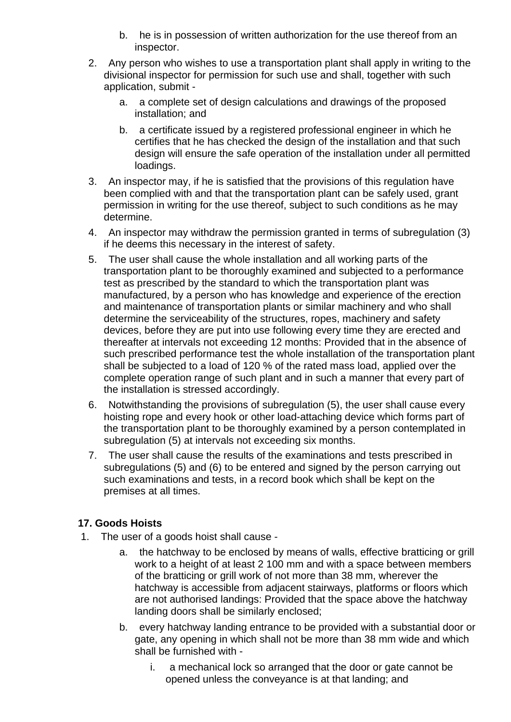- b. he is in possession of written authorization for the use thereof from an inspector.
- 2. Any person who wishes to use a transportation plant shall apply in writing to the divisional inspector for permission for such use and shall, together with such application, submit
	- a. a complete set of design calculations and drawings of the proposed installation; and
	- b. a certificate issued by a registered professional engineer in which he certifies that he has checked the design of the installation and that such design will ensure the safe operation of the installation under all permitted loadings.
- 3. An inspector may, if he is satisfied that the provisions of this regulation have been complied with and that the transportation plant can be safely used, grant permission in writing for the use thereof, subject to such conditions as he may determine.
- 4. An inspector may withdraw the permission granted in terms of subregulation (3) if he deems this necessary in the interest of safety.
- 5. The user shall cause the whole installation and all working parts of the transportation plant to be thoroughly examined and subjected to a performance test as prescribed by the standard to which the transportation plant was manufactured, by a person who has knowledge and experience of the erection and maintenance of transportation plants or similar machinery and who shall determine the serviceability of the structures, ropes, machinery and safety devices, before they are put into use following every time they are erected and thereafter at intervals not exceeding 12 months: Provided that in the absence of such prescribed performance test the whole installation of the transportation plant shall be subjected to a load of 120 % of the rated mass load, applied over the complete operation range of such plant and in such a manner that every part of the installation is stressed accordingly.
- 6. Notwithstanding the provisions of subregulation (5), the user shall cause every hoisting rope and every hook or other load-attaching device which forms part of the transportation plant to be thoroughly examined by a person contemplated in subregulation (5) at intervals not exceeding six months.
- 7. The user shall cause the results of the examinations and tests prescribed in subregulations (5) and (6) to be entered and signed by the person carrying out such examinations and tests, in a record book which shall be kept on the premises at all times.

## **17. Goods Hoists**

- 1. The user of a goods hoist shall cause
	- a. the hatchway to be enclosed by means of walls, effective bratticing or grill work to a height of at least 2 100 mm and with a space between members of the bratticing or grill work of not more than 38 mm, wherever the hatchway is accessible from adjacent stairways, platforms or floors which are not authorised landings: Provided that the space above the hatchway landing doors shall be similarly enclosed;
	- b. every hatchway landing entrance to be provided with a substantial door or gate, any opening in which shall not be more than 38 mm wide and which shall be furnished with
		- i. a mechanical lock so arranged that the door or gate cannot be opened unless the conveyance is at that landing; and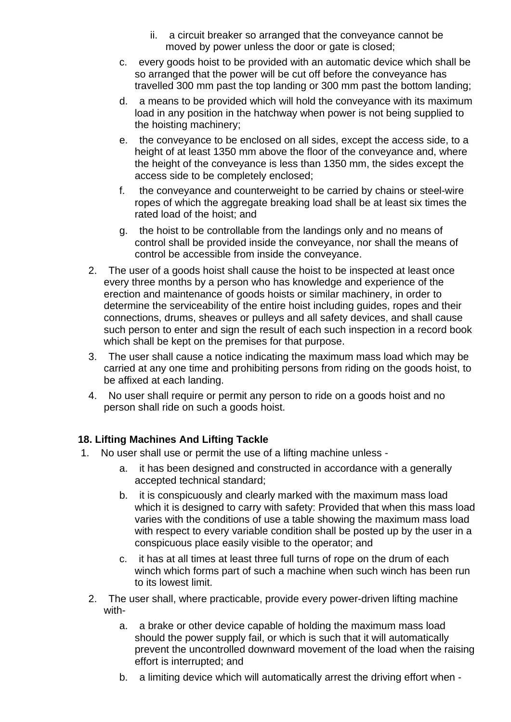- ii. a circuit breaker so arranged that the conveyance cannot be moved by power unless the door or gate is closed;
- c. every goods hoist to be provided with an automatic device which shall be so arranged that the power will be cut off before the conveyance has travelled 300 mm past the top landing or 300 mm past the bottom landing;
- d. a means to be provided which will hold the conveyance with its maximum load in any position in the hatchway when power is not being supplied to the hoisting machinery;
- e. the conveyance to be enclosed on all sides, except the access side, to a height of at least 1350 mm above the floor of the conveyance and, where the height of the conveyance is less than 1350 mm, the sides except the access side to be completely enclosed;
- f. the conveyance and counterweight to be carried by chains or steel-wire ropes of which the aggregate breaking load shall be at least six times the rated load of the hoist; and
- g. the hoist to be controllable from the landings only and no means of control shall be provided inside the conveyance, nor shall the means of control be accessible from inside the conveyance.
- 2. The user of a goods hoist shall cause the hoist to be inspected at least once every three months by a person who has knowledge and experience of the erection and maintenance of goods hoists or similar machinery, in order to determine the serviceability of the entire hoist including guides, ropes and their connections, drums, sheaves or pulleys and all safety devices, and shall cause such person to enter and sign the result of each such inspection in a record book which shall be kept on the premises for that purpose.
- 3. The user shall cause a notice indicating the maximum mass load which may be carried at any one time and prohibiting persons from riding on the goods hoist, to be affixed at each landing.
- 4. No user shall require or permit any person to ride on a goods hoist and no person shall ride on such a goods hoist.

#### **18. Lifting Machines And Lifting Tackle**

- 1. No user shall use or permit the use of a lifting machine unless
	- a. it has been designed and constructed in accordance with a generally accepted technical standard;
	- b. it is conspicuously and clearly marked with the maximum mass load which it is designed to carry with safety: Provided that when this mass load varies with the conditions of use a table showing the maximum mass load with respect to every variable condition shall be posted up by the user in a conspicuous place easily visible to the operator; and
	- c. it has at all times at least three full turns of rope on the drum of each winch which forms part of such a machine when such winch has been run to its lowest limit.
	- 2. The user shall, where practicable, provide every power-driven lifting machine with
		- a. a brake or other device capable of holding the maximum mass load should the power supply fail, or which is such that it will automatically prevent the uncontrolled downward movement of the load when the raising effort is interrupted; and
		- b. a limiting device which will automatically arrest the driving effort when -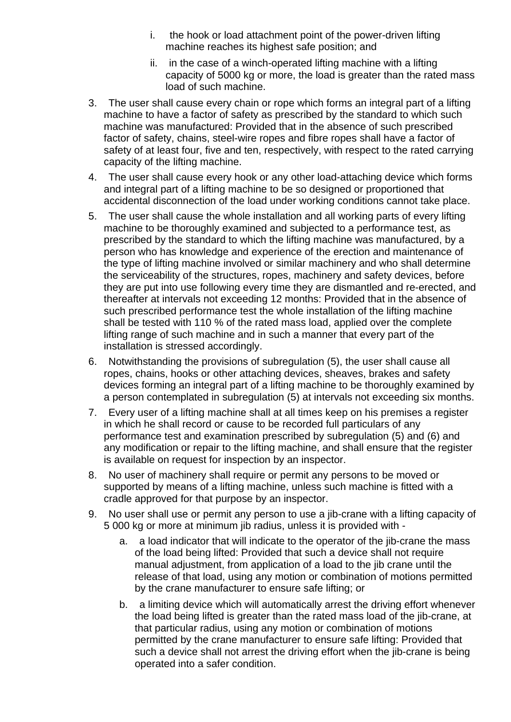- i. the hook or load attachment point of the power-driven lifting machine reaches its highest safe position; and
- ii. in the case of a winch-operated lifting machine with a lifting capacity of 5000 kg or more, the load is greater than the rated mass load of such machine.
- 3. The user shall cause every chain or rope which forms an integral part of a lifting machine to have a factor of safety as prescribed by the standard to which such machine was manufactured: Provided that in the absence of such prescribed factor of safety, chains, steel-wire ropes and fibre ropes shall have a factor of safety of at least four, five and ten, respectively, with respect to the rated carrying capacity of the lifting machine.
- 4. The user shall cause every hook or any other load-attaching device which forms and integral part of a lifting machine to be so designed or proportioned that accidental disconnection of the load under working conditions cannot take place.
- 5. The user shall cause the whole installation and all working parts of every lifting machine to be thoroughly examined and subjected to a performance test, as prescribed by the standard to which the lifting machine was manufactured, by a person who has knowledge and experience of the erection and maintenance of the type of lifting machine involved or similar machinery and who shall determine the serviceability of the structures, ropes, machinery and safety devices, before they are put into use following every time they are dismantled and re-erected, and thereafter at intervals not exceeding 12 months: Provided that in the absence of such prescribed performance test the whole installation of the lifting machine shall be tested with 110 % of the rated mass load, applied over the complete lifting range of such machine and in such a manner that every part of the installation is stressed accordingly.
- 6. Notwithstanding the provisions of subregulation (5), the user shall cause all ropes, chains, hooks or other attaching devices, sheaves, brakes and safety devices forming an integral part of a lifting machine to be thoroughly examined by a person contemplated in subregulation (5) at intervals not exceeding six months.
- 7. Every user of a lifting machine shall at all times keep on his premises a register in which he shall record or cause to be recorded full particulars of any performance test and examination prescribed by subregulation (5) and (6) and any modification or repair to the lifting machine, and shall ensure that the register is available on request for inspection by an inspector.
- 8. No user of machinery shall require or permit any persons to be moved or supported by means of a lifting machine, unless such machine is fitted with a cradle approved for that purpose by an inspector.
- 9. No user shall use or permit any person to use a jib-crane with a lifting capacity of 5 000 kg or more at minimum jib radius, unless it is provided with
	- a. a load indicator that will indicate to the operator of the jib-crane the mass of the load being lifted: Provided that such a device shall not require manual adjustment, from application of a load to the jib crane until the release of that load, using any motion or combination of motions permitted by the crane manufacturer to ensure safe lifting; or
	- b. a limiting device which will automatically arrest the driving effort whenever the load being lifted is greater than the rated mass load of the jib-crane, at that particular radius, using any motion or combination of motions permitted by the crane manufacturer to ensure safe lifting: Provided that such a device shall not arrest the driving effort when the jib-crane is being operated into a safer condition.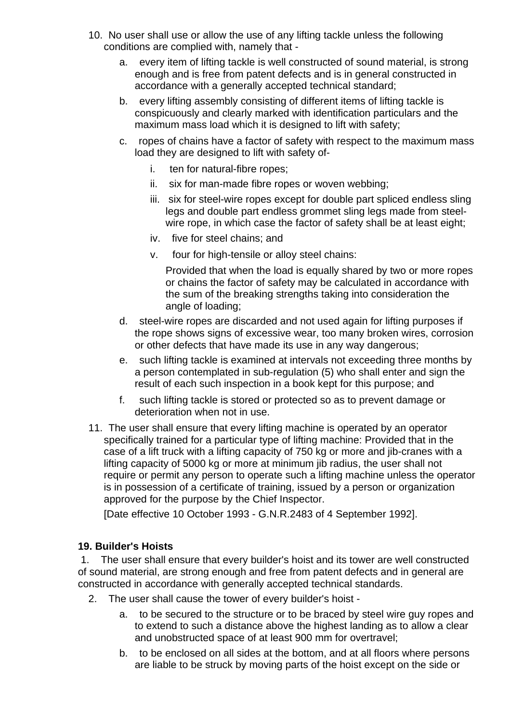- 10. No user shall use or allow the use of any lifting tackle unless the following conditions are complied with, namely that
	- a. every item of lifting tackle is well constructed of sound material, is strong enough and is free from patent defects and is in general constructed in accordance with a generally accepted technical standard;
	- b. every lifting assembly consisting of different items of lifting tackle is conspicuously and clearly marked with identification particulars and the maximum mass load which it is designed to lift with safety;
	- c. ropes of chains have a factor of safety with respect to the maximum mass load they are designed to lift with safety of
		- i. ten for natural-fibre ropes;
		- ii. six for man-made fibre ropes or woven webbing;
		- iii. six for steel-wire ropes except for double part spliced endless sling legs and double part endless grommet sling legs made from steelwire rope, in which case the factor of safety shall be at least eight;
		- iv. five for steel chains; and
		- v. four for high-tensile or alloy steel chains:

Provided that when the load is equally shared by two or more ropes or chains the factor of safety may be calculated in accordance with the sum of the breaking strengths taking into consideration the angle of loading;

- d. steel-wire ropes are discarded and not used again for lifting purposes if the rope shows signs of excessive wear, too many broken wires, corrosion or other defects that have made its use in any way dangerous;
- e. such lifting tackle is examined at intervals not exceeding three months by a person contemplated in sub-regulation (5) who shall enter and sign the result of each such inspection in a book kept for this purpose; and
- f. such lifting tackle is stored or protected so as to prevent damage or deterioration when not in use.
- 11. The user shall ensure that every lifting machine is operated by an operator specifically trained for a particular type of lifting machine: Provided that in the case of a lift truck with a lifting capacity of 750 kg or more and jib-cranes with a lifting capacity of 5000 kg or more at minimum jib radius, the user shall not require or permit any person to operate such a lifting machine unless the operator is in possession of a certificate of training, issued by a person or organization approved for the purpose by the Chief Inspector.

[Date effective 10 October 1993 - G.N.R.2483 of 4 September 1992].

#### **19. Builder's Hoists**

 1. The user shall ensure that every builder's hoist and its tower are well constructed of sound material, are strong enough and free from patent defects and in general are constructed in accordance with generally accepted technical standards.

- 2. The user shall cause the tower of every builder's hoist
	- a. to be secured to the structure or to be braced by steel wire guy ropes and to extend to such a distance above the highest landing as to allow a clear and unobstructed space of at least 900 mm for overtravel;
	- b. to be enclosed on all sides at the bottom, and at all floors where persons are liable to be struck by moving parts of the hoist except on the side or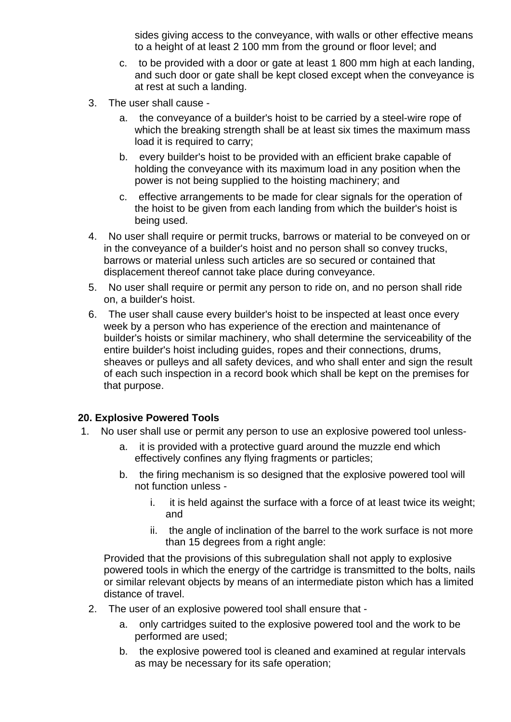sides giving access to the conveyance, with walls or other effective means to a height of at least 2 100 mm from the ground or floor level; and

- c. to be provided with a door or gate at least 1 800 mm high at each landing, and such door or gate shall be kept closed except when the conveyance is at rest at such a landing.
- 3. The user shall cause
	- a. the conveyance of a builder's hoist to be carried by a steel-wire rope of which the breaking strength shall be at least six times the maximum mass load it is required to carry;
	- b. every builder's hoist to be provided with an efficient brake capable of holding the conveyance with its maximum load in any position when the power is not being supplied to the hoisting machinery; and
	- c. effective arrangements to be made for clear signals for the operation of the hoist to be given from each landing from which the builder's hoist is being used.
- 4. No user shall require or permit trucks, barrows or material to be conveyed on or in the conveyance of a builder's hoist and no person shall so convey trucks, barrows or material unless such articles are so secured or contained that displacement thereof cannot take place during conveyance.
- 5. No user shall require or permit any person to ride on, and no person shall ride on, a builder's hoist.
- 6. The user shall cause every builder's hoist to be inspected at least once every week by a person who has experience of the erection and maintenance of builder's hoists or similar machinery, who shall determine the serviceability of the entire builder's hoist including guides, ropes and their connections, drums, sheaves or pulleys and all safety devices, and who shall enter and sign the result of each such inspection in a record book which shall be kept on the premises for that purpose.

#### **20. Explosive Powered Tools**

- 1. No user shall use or permit any person to use an explosive powered tool unless
	- a. it is provided with a protective guard around the muzzle end which effectively confines any flying fragments or particles;
	- b. the firing mechanism is so designed that the explosive powered tool will not function unless
		- i. it is held against the surface with a force of at least twice its weight; and
		- ii. the angle of inclination of the barrel to the work surface is not more than 15 degrees from a right angle:

Provided that the provisions of this subregulation shall not apply to explosive powered tools in which the energy of the cartridge is transmitted to the bolts, nails or similar relevant objects by means of an intermediate piston which has a limited distance of travel.

- 2. The user of an explosive powered tool shall ensure that
	- a. only cartridges suited to the explosive powered tool and the work to be performed are used;
	- b. the explosive powered tool is cleaned and examined at regular intervals as may be necessary for its safe operation;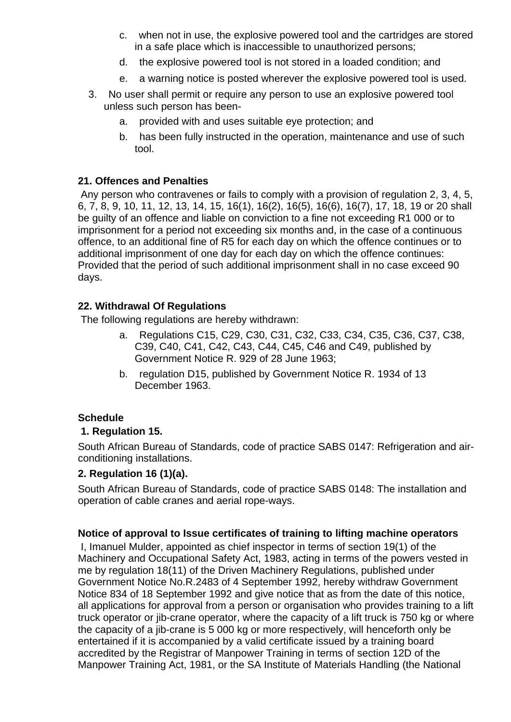- c. when not in use, the explosive powered tool and the cartridges are stored in a safe place which is inaccessible to unauthorized persons;
- d. the explosive powered tool is not stored in a loaded condition; and
- e. a warning notice is posted wherever the explosive powered tool is used.
- 3. No user shall permit or require any person to use an explosive powered tool unless such person has been
	- a. provided with and uses suitable eye protection; and
	- b. has been fully instructed in the operation, maintenance and use of such tool.

### **21. Offences and Penalties**

 Any person who contravenes or fails to comply with a provision of regulation 2, 3, 4, 5, 6, 7, 8, 9, 10, 11, 12, 13, 14, 15, 16(1), 16(2), 16(5), 16(6), 16(7), 17, 18, 19 or 20 shall be guilty of an offence and liable on conviction to a fine not exceeding R1 000 or to imprisonment for a period not exceeding six months and, in the case of a continuous offence, to an additional fine of R5 for each day on which the offence continues or to additional imprisonment of one day for each day on which the offence continues: Provided that the period of such additional imprisonment shall in no case exceed 90 days.

## **22. Withdrawal Of Regulations**

The following regulations are hereby withdrawn:

- a. Regulations C15, C29, C30, C31, C32, C33, C34, C35, C36, C37, C38, C39, C40, C41, C42, C43, C44, C45, C46 and C49, published by Government Notice R. 929 of 28 June 1963;
- b. regulation D15, published by Government Notice R. 1934 of 13 December 1963.

## **Schedule**

#### **1. Regulation 15.**

South African Bureau of Standards, code of practice SABS 0147: Refrigeration and airconditioning installations.

#### **2. Regulation 16 (1)(a).**

South African Bureau of Standards, code of practice SABS 0148: The installation and operation of cable cranes and aerial rope-ways.

#### **Notice of approval to Issue certificates of training to lifting machine operators**

 I, Imanuel Mulder, appointed as chief inspector in terms of section 19(1) of the Machinery and Occupational Safety Act, 1983, acting in terms of the powers vested in me by regulation 18(11) of the Driven Machinery Regulations, published under Government Notice No.R.2483 of 4 September 1992, hereby withdraw Government Notice 834 of 18 September 1992 and give notice that as from the date of this notice, all applications for approval from a person or organisation who provides training to a lift truck operator or jib-crane operator, where the capacity of a lift truck is 750 kg or where the capacity of a jib-crane is 5 000 kg or more respectively, will henceforth only be entertained if it is accompanied by a valid certificate issued by a training board accredited by the Registrar of Manpower Training in terms of section 12D of the Manpower Training Act, 1981, or the SA Institute of Materials Handling (the National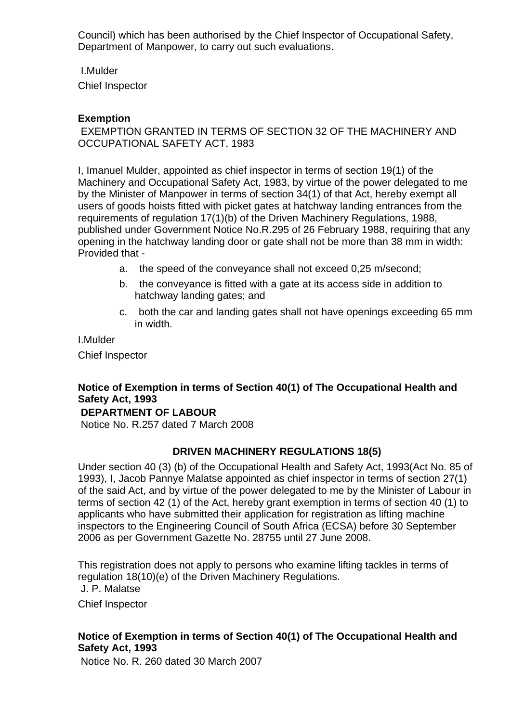Council) which has been authorised by the Chief Inspector of Occupational Safety, Department of Manpower, to carry out such evaluations.

I.Mulder

Chief Inspector

### **Exemption**

 EXEMPTION GRANTED IN TERMS OF SECTION 32 OF THE MACHINERY AND OCCUPATIONAL SAFETY ACT, 1983

I, Imanuel Mulder, appointed as chief inspector in terms of section 19(1) of the Machinery and Occupational Safety Act, 1983, by virtue of the power delegated to me by the Minister of Manpower in terms of section 34(1) of that Act, hereby exempt all users of goods hoists fitted with picket gates at hatchway landing entrances from the requirements of regulation 17(1)(b) of the Driven Machinery Regulations, 1988, published under Government Notice No.R.295 of 26 February 1988, requiring that any opening in the hatchway landing door or gate shall not be more than 38 mm in width: Provided that -

- a. the speed of the conveyance shall not exceed 0,25 m/second;
- b. the conveyance is fitted with a gate at its access side in addition to hatchway landing gates; and
- c. both the car and landing gates shall not have openings exceeding 65 mm in width.

I.Mulder

Chief Inspector

# **Notice of Exemption in terms of Section 40(1) of The Occupational Health and Safety Act, 1993**

#### **DEPARTMENT OF LABOUR**

Notice No. R.257 dated 7 March 2008

#### **DRIVEN MACHINERY REGULATIONS 18(5)**

Under section 40 (3) (b) of the Occupational Health and Safety Act, 1993(Act No. 85 of 1993), I, Jacob Pannye Malatse appointed as chief inspector in terms of section 27(1) of the said Act, and by virtue of the power delegated to me by the Minister of Labour in terms of section 42 (1) of the Act, hereby grant exemption in terms of section 40 (1) to applicants who have submitted their application for registration as lifting machine inspectors to the Engineering Council of South Africa (ECSA) before 30 September 2006 as per Government Gazette No. 28755 until 27 June 2008.

This registration does not apply to persons who examine lifting tackles in terms of regulation 18(10)(e) of the Driven Machinery Regulations. J. P. Malatse Chief Inspector

#### **Notice of Exemption in terms of Section 40(1) of The Occupational Health and Safety Act, 1993**

Notice No. R. 260 dated 30 March 2007